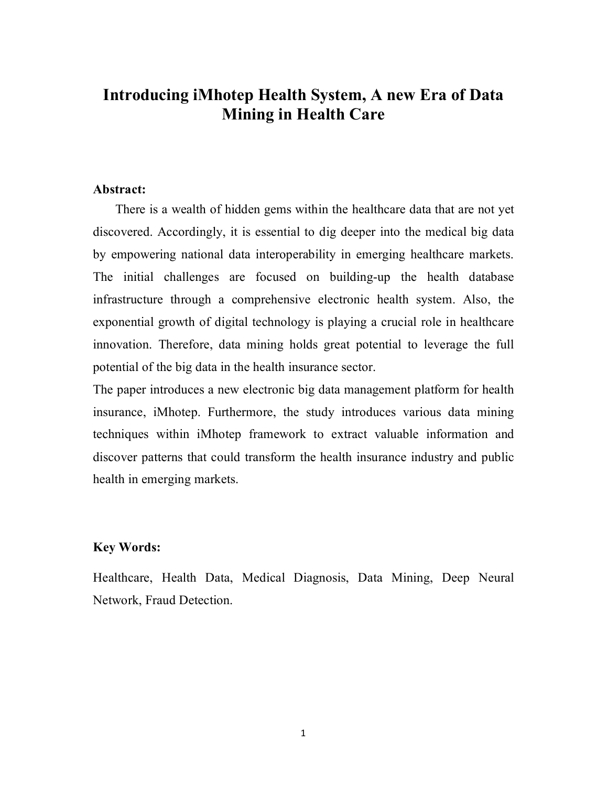# **Introducing iMhotep Health System, A new Era of Data Mining in Health Care**

#### **Abstract:**

There is a wealth of hidden gems within the healthcare data that are not yet discovered. Accordingly, it is essential to dig deeper into the medical big data by empowering national data interoperability in emerging healthcare markets. The initial challenges are focused on building-up the health database infrastructure through a comprehensive electronic health system. Also, the exponential growth of digital technology is playing a crucial role in healthcare innovation. Therefore, data mining holds great potential to leverage the full potential of the big data in the health insurance sector.

The paper introduces a new electronic big data management platform for health insurance, iMhotep. Furthermore, the study introduces various data mining techniques within iMhotep framework to extract valuable information and discover patterns that could transform the health insurance industry and public health in emerging markets.

### **Key Words:**

Healthcare, Health Data, Medical Diagnosis, Data Mining, Deep Neural Network, Fraud Detection.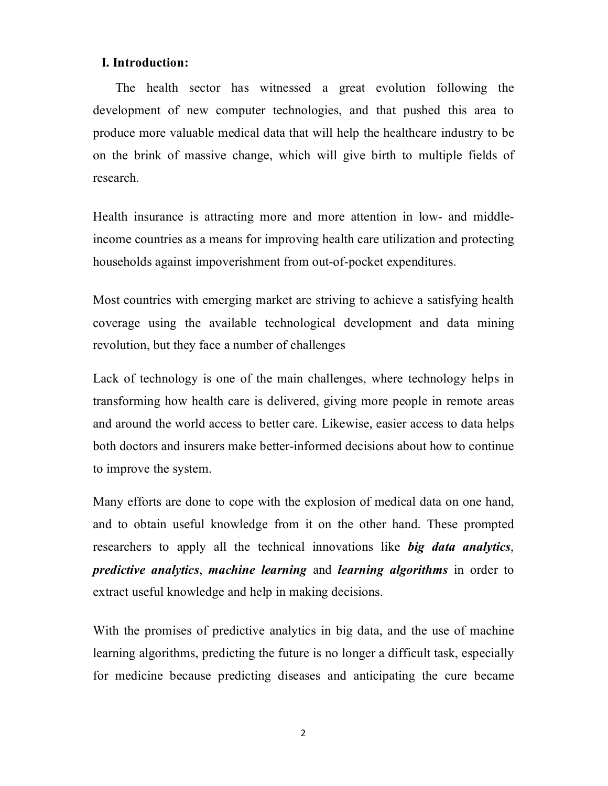## **I. Introduction:**

The health sector has witnessed a great evolution following the development of new computer technologies, and that pushed this area to produce more valuable medical data that will help the healthcare industry to be on the brink of massive change, which will give birth to multiple fields of research.

Health insurance is attracting more and more attention in low- and middleincome countries as a means for improving health care utilization and protecting households against impoverishment from out-of-pocket expenditures.

Most countries with emerging market are striving to achieve a satisfying health coverage using the available technological development and data mining revolution, but they face a number of challenges

Lack of technology is one of the main challenges, where technology helps in transforming how health care is delivered, giving more people in remote areas and around the world access to better care. Likewise, easier access to data helps both doctors and insurers make better-informed decisions about how to continue to improve the system.

Many efforts are done to cope with the explosion of medical data on one hand, and to obtain useful knowledge from it on the other hand. These prompted researchers to apply all the technical innovations like *big data analytics*, *predictive analytics*, *machine learning* and *learning algorithms* in order to extract useful knowledge and help in making decisions.

With the promises of predictive analytics in big data, and the use of machine learning algorithms, predicting the future is no longer a difficult task, especially for medicine because predicting diseases and anticipating the cure became

2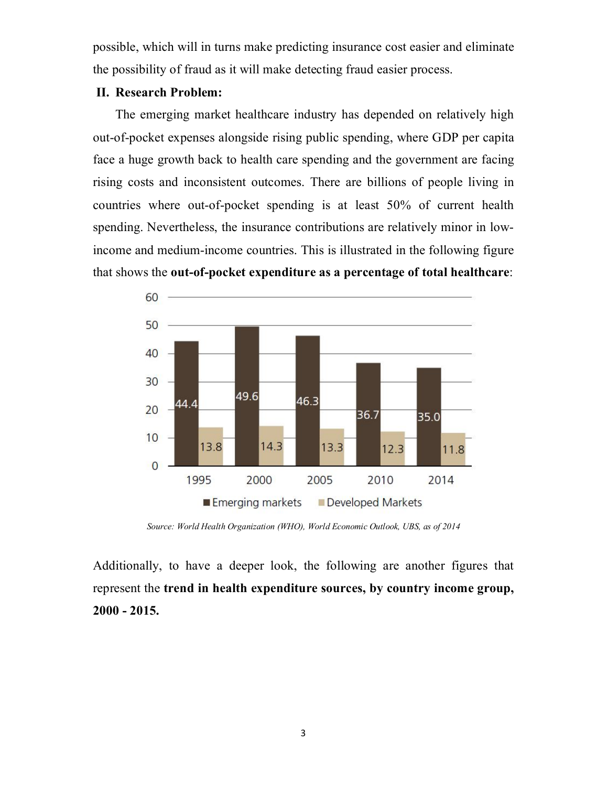possible, which will in turns make predicting insurance cost easier and eliminate the possibility of fraud as it will make detecting fraud easier process.

#### **II. Research Problem:**

The emerging market healthcare industry has depended on relatively high out-of-pocket expenses alongside rising public spending, where GDP per capita face a huge growth back to health care spending and the government are facing rising costs and inconsistent outcomes. There are billions of people living in countries where out-of-pocket spending is at least 50% of current health spending. Nevertheless, the insurance contributions are relatively minor in lowincome and medium-income countries. This is illustrated in the following figure that shows the **out-of-pocket expenditure as a percentage of total healthcare**:



*Source: World Health Organization (WHO), World Economic Outlook, UBS, as of 2014*

Additionally, to have a deeper look, the following are another figures that represent the **trend in health expenditure sources, by country income group, 2000 - 2015.**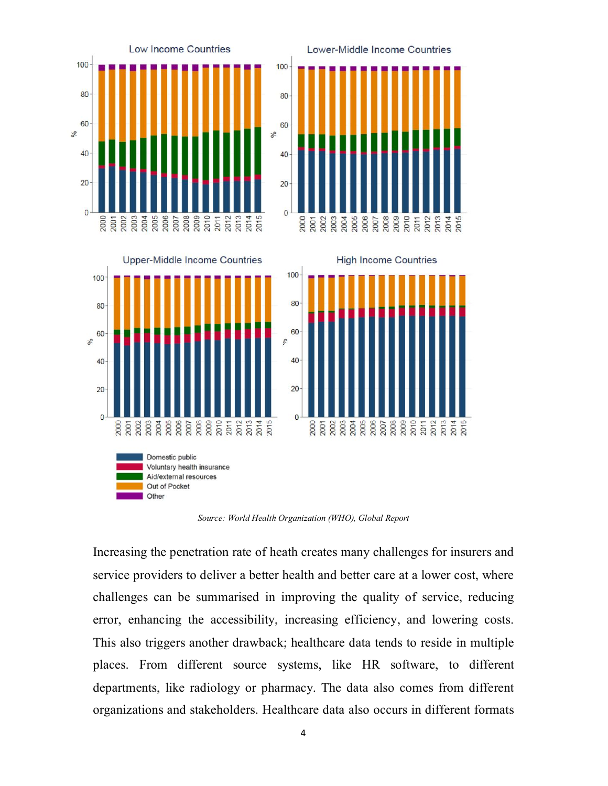





**High Income Countries** 



*Source: World Health Organization (WHO), Global Report*

Increasing the penetration rate of heath creates many challenges for insurers and service providers to deliver a better health and better care at a lower cost, where challenges can be summarised in improving the quality of service, reducing error, enhancing the accessibility, increasing efficiency, and lowering costs. This also triggers another drawback; healthcare data tends to reside in multiple places. From different source systems, like HR software, to different departments, like radiology or pharmacy. The data also comes from different organizations and stakeholders. Healthcare data also occurs in different formats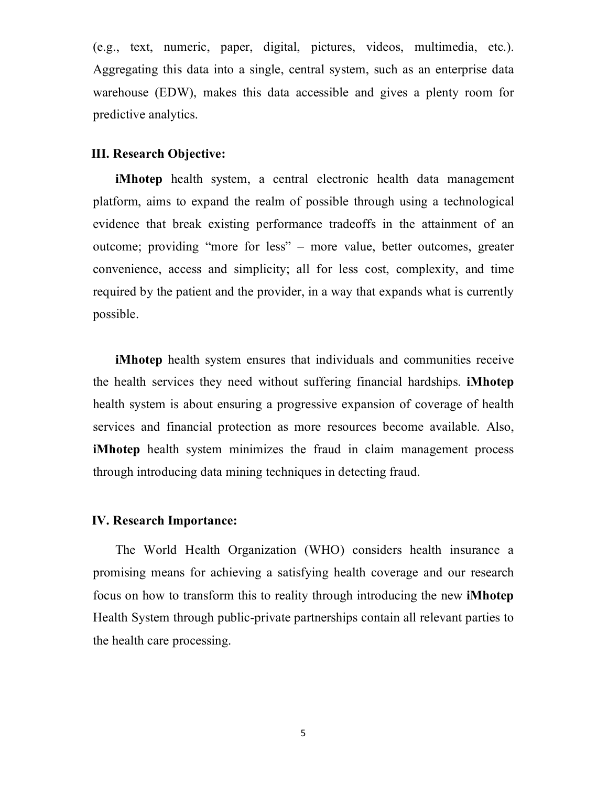(e.g., text, numeric, paper, digital, pictures, videos, multimedia, etc.). Aggregating this data into a single, central system, such as an enterprise data warehouse (EDW), makes this data accessible and gives a plenty room for predictive analytics.

#### **III. Research Objective:**

**iMhotep** health system, a central electronic health data management platform, aims to expand the realm of possible through using a technological evidence that break existing performance tradeoffs in the attainment of an outcome; providing "more for less" – more value, better outcomes, greater convenience, access and simplicity; all for less cost, complexity, and time required by the patient and the provider, in a way that expands what is currently possible.

**iMhotep** health system ensures that individuals and communities receive the health services they need without suffering financial hardships. **iMhotep** health system is about ensuring a progressive expansion of coverage of health services and financial protection as more resources become available. Also, **iMhotep** health system minimizes the fraud in claim management process through introducing data mining techniques in detecting fraud.

### **IV. Research Importance:**

The World Health Organization (WHO) considers health insurance a promising means for achieving a satisfying health coverage and our research focus on how to transform this to reality through introducing the new **iMhotep** Health System through public-private partnerships contain all relevant parties to the health care processing.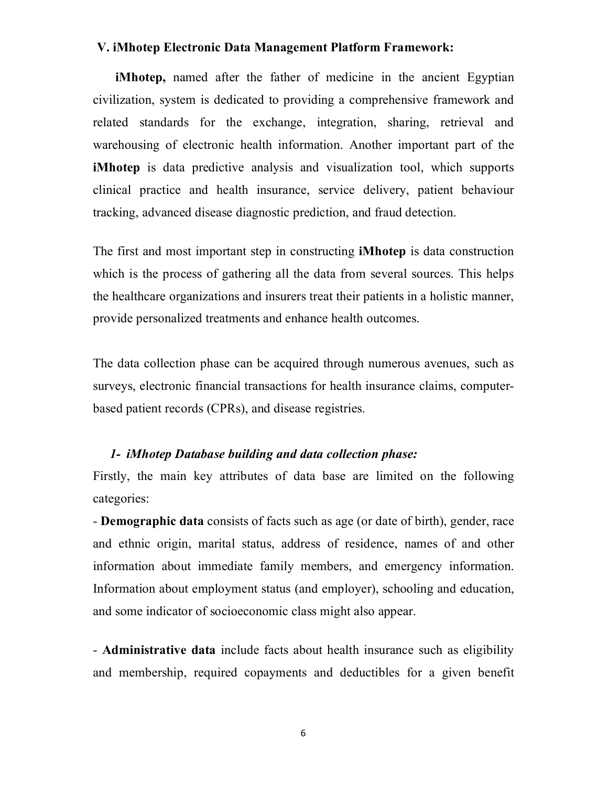#### **V. iMhotep Electronic Data Management Platform Framework:**

**iMhotep,** named after the father of medicine in the ancient Egyptian civilization, system is dedicated to providing a comprehensive framework and related standards for the exchange, integration, sharing, retrieval and warehousing of electronic health information. Another important part of the **iMhotep** is data predictive analysis and visualization tool, which supports clinical practice and health insurance, service delivery, patient behaviour tracking, advanced disease diagnostic prediction, and fraud detection.

The first and most important step in constructing **iMhotep** is data construction which is the process of gathering all the data from several sources. This helps the healthcare organizations and insurers treat their patients in a holistic manner, provide personalized treatments and enhance health outcomes.

The data collection phase can be acquired through numerous avenues, such as surveys, electronic financial transactions for health insurance claims, computerbased patient records (CPRs), and disease registries.

#### *1- iMhotep Database building and data collection phase:*

Firstly, the main key attributes of data base are limited on the following categories:

- **Demographic data** consists of facts such as age (or date of birth), gender, race and ethnic origin, marital status, address of residence, names of and other information about immediate family members, and emergency information. Information about employment status (and employer), schooling and education, and some indicator of socioeconomic class might also appear.

- **Administrative data** include facts about health insurance such as eligibility and membership, required copayments and deductibles for a given benefit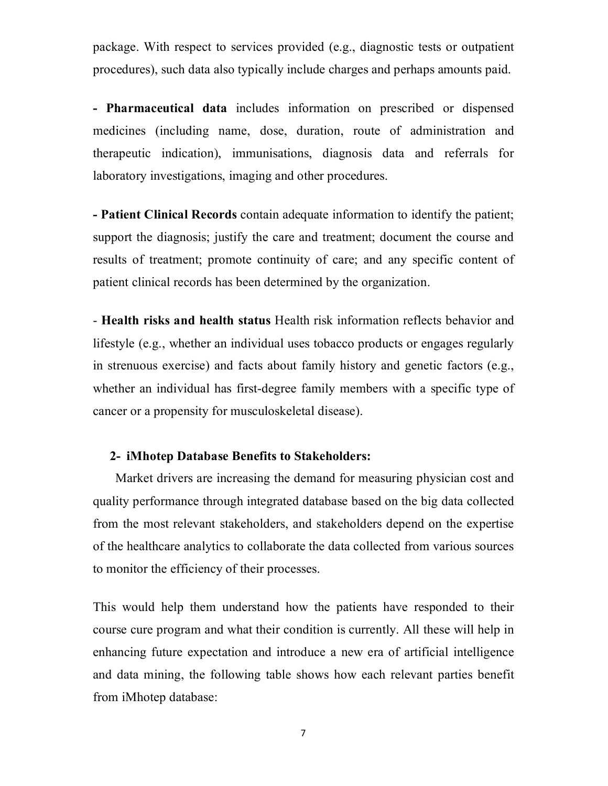package. With respect to services provided (e.g., diagnostic tests or outpatient procedures), such data also typically include charges and perhaps amounts paid.

**- Pharmaceutical data** includes information on prescribed or dispensed medicines (including name, dose, duration, route of administration and therapeutic indication), immunisations, diagnosis data and referrals for laboratory investigations, imaging and other procedures.

**- Patient Clinical Records** contain adequate information to identify the patient; support the diagnosis; justify the care and treatment; document the course and results of treatment; promote continuity of care; and any specific content of patient clinical records has been determined by the organization.

- **Health risks and health status** Health risk information reflects behavior and lifestyle (e.g., whether an individual uses tobacco products or engages regularly in strenuous exercise) and facts about family history and genetic factors (e.g., whether an individual has first-degree family members with a specific type of cancer or a propensity for musculoskeletal disease).

### **2- iMhotep Database Benefits to Stakeholders:**

Market drivers are increasing the demand for measuring physician cost and quality performance through integrated database based on the big data collected from the most relevant stakeholders, and stakeholders depend on the expertise of the healthcare analytics to collaborate the data collected from various sources to monitor the efficiency of their processes.

This would help them understand how the patients have responded to their course cure program and what their condition is currently. All these will help in enhancing future expectation and introduce a new era of artificial intelligence and data mining, the following table shows how each relevant parties benefit from iMhotep database: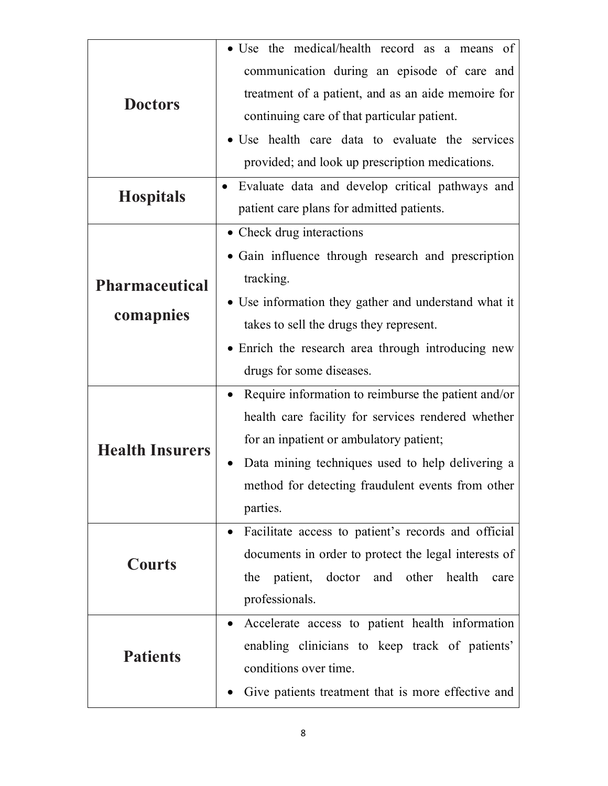| <b>Doctors</b>         | • Use the medical/health record as a means of                    |
|------------------------|------------------------------------------------------------------|
|                        | communication during an episode of care and                      |
|                        | treatment of a patient, and as an aide memoire for               |
|                        | continuing care of that particular patient.                      |
|                        | • Use health care data to evaluate the services                  |
|                        | provided; and look up prescription medications.                  |
| <b>Hospitals</b>       | Evaluate data and develop critical pathways and                  |
|                        | patient care plans for admitted patients.                        |
|                        | • Check drug interactions                                        |
|                        | • Gain influence through research and prescription               |
| <b>Pharmaceutical</b>  | tracking.                                                        |
| comapnies              | • Use information they gather and understand what it             |
|                        | takes to sell the drugs they represent.                          |
|                        | • Enrich the research area through introducing new               |
|                        | drugs for some diseases.                                         |
| <b>Health Insurers</b> | Require information to reimburse the patient and/or<br>$\bullet$ |
|                        | health care facility for services rendered whether               |
|                        | for an inpatient or ambulatory patient;                          |
|                        | Data mining techniques used to help delivering a                 |
|                        | method for detecting fraudulent events from other                |
|                        | parties.                                                         |
| <b>Courts</b>          | Facilitate access to patient's records and official<br>$\bullet$ |
|                        | documents in order to protect the legal interests of             |
|                        | patient, doctor and other health<br>the<br>care                  |
|                        | professionals.                                                   |
| <b>Patients</b>        | Accelerate access to patient health information<br>$\bullet$     |
|                        | enabling clinicians to keep track of patients'                   |
|                        | conditions over time.                                            |
|                        | Give patients treatment that is more effective and               |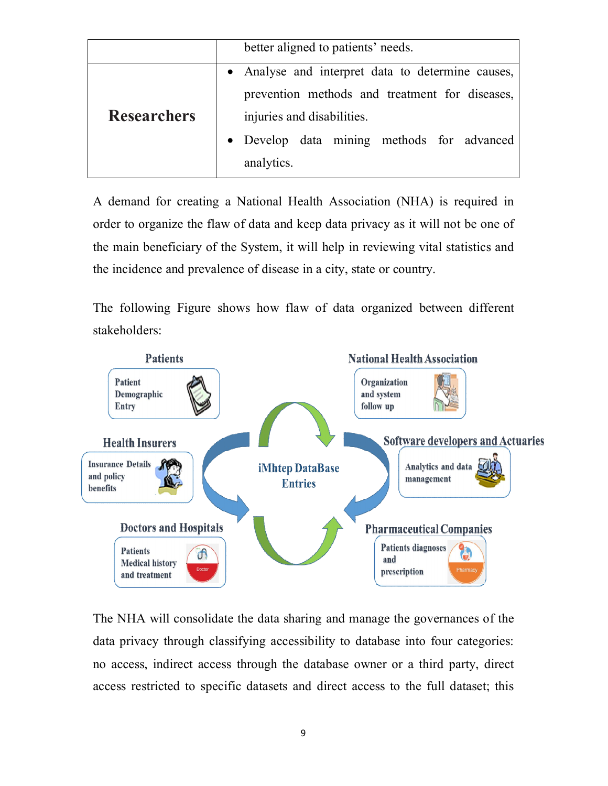|                    | better aligned to patients' needs.                |
|--------------------|---------------------------------------------------|
|                    | • Analyse and interpret data to determine causes, |
|                    | prevention methods and treatment for diseases,    |
| <b>Researchers</b> | injuries and disabilities.                        |
|                    | • Develop data mining methods for advanced        |
|                    | analytics.                                        |

A demand for creating a National Health Association (NHA) is required in order to organize the flaw of data and keep data privacy as it will not be one of the main beneficiary of the System, it will help in reviewing vital statistics and the incidence and prevalence of disease in a city, state or country.

The following Figure shows how flaw of data organized between different stakeholders:



The NHA will consolidate the data sharing and manage the governances of the data privacy through classifying accessibility to database into four categories: no access, indirect access through the database owner or a third party, direct access restricted to specific datasets and direct access to the full dataset; this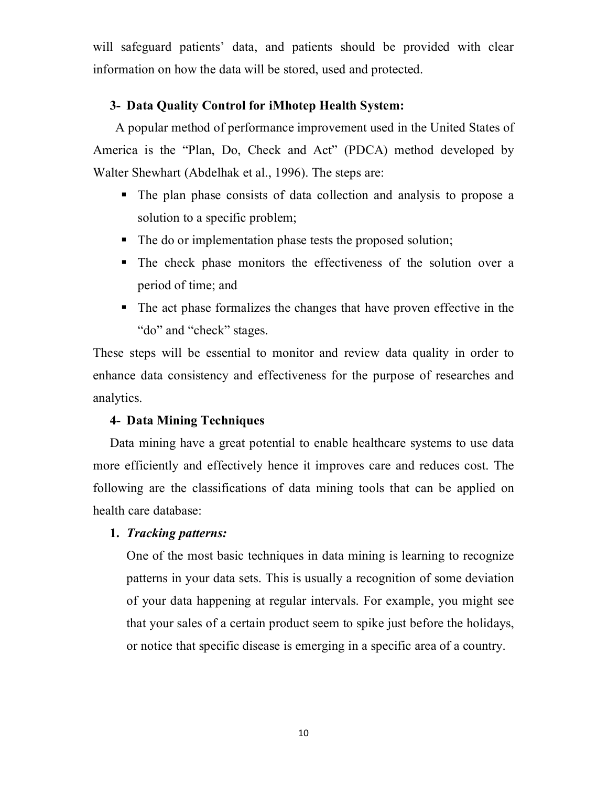will safeguard patients' data, and patients should be provided with clear information on how the data will be stored, used and protected.

# **3- Data Quality Control for iMhotep Health System:**

A popular method of performance improvement used in the United States of America is the "Plan, Do, Check and Act" (PDCA) method developed by Walter Shewhart (Abdelhak et al., 1996). The steps are:

- The plan phase consists of data collection and analysis to propose a solution to a specific problem;
- The do or implementation phase tests the proposed solution;
- The check phase monitors the effectiveness of the solution over a period of time; and
- The act phase formalizes the changes that have proven effective in the "do" and "check" stages.

These steps will be essential to monitor and review data quality in order to enhance data consistency and effectiveness for the purpose of researches and analytics.

### **4- Data Mining Techniques**

Data mining have a great potential to enable healthcare systems to use data more efficiently and effectively hence it improves care and reduces cost. The following are the classifications of data mining tools that can be applied on health care database:

### **1.** *Tracking patterns:*

One of the most basic techniques in data mining is learning to recognize patterns in your data sets. This is usually a recognition of some deviation of your data happening at regular intervals. For example, you might see that your sales of a certain product seem to spike just before the holidays, or notice that specific disease is emerging in a specific area of a country.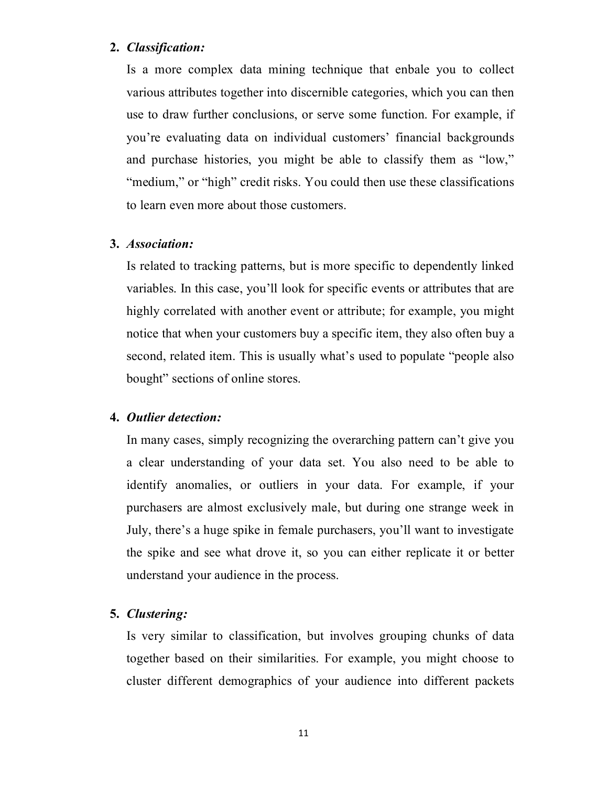### **2.** *Classification:*

Is a more complex data mining technique that enbale you to collect various attributes together into discernible categories, which you can then use to draw further conclusions, or serve some function. For example, if you're evaluating data on individual customers' financial backgrounds and purchase histories, you might be able to classify them as "low," "medium," or "high" credit risks. You could then use these classifications to learn even more about those customers.

#### **3.** *Association:*

Is related to tracking patterns, but is more specific to dependently linked variables. In this case, you'll look for specific events or attributes that are highly correlated with another event or attribute; for example, you might notice that when your customers buy a specific item, they also often buy a second, related item. This is usually what's used to populate "people also bought" sections of online stores.

#### **4.** *Outlier detection:*

In many cases, simply recognizing the overarching pattern can't give you a clear understanding of your data set. You also need to be able to identify anomalies, or outliers in your data. For example, if your purchasers are almost exclusively male, but during one strange week in July, there's a huge spike in female purchasers, you'll want to investigate the spike and see what drove it, so you can either replicate it or better understand your audience in the process.

#### **5.** *Clustering:*

Is very similar to classification, but involves grouping chunks of data together based on their similarities. For example, you might choose to cluster different demographics of your audience into different packets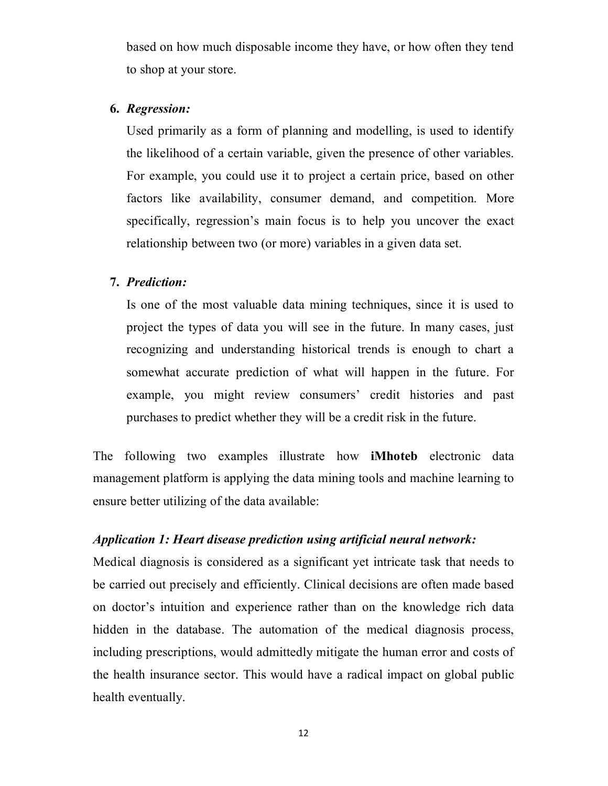based on how much disposable income they have, or how often they tend to shop at your store.

## **6.** *Regression:*

Used primarily as a form of planning and modelling, is used to identify the likelihood of a certain variable, given the presence of other variables. For example, you could use it to project a certain price, based on other factors like availability, consumer demand, and competition. More specifically, regression's main focus is to help you uncover the exact relationship between two (or more) variables in a given data set.

### **7.** *Prediction:*

Is one of the most valuable data mining techniques, since it is used to project the types of data you will see in the future. In many cases, just recognizing and understanding historical trends is enough to chart a somewhat accurate prediction of what will happen in the future. For example, you might review consumers' credit histories and past purchases to predict whether they will be a credit risk in the future.

The following two examples illustrate how **iMhoteb** electronic data management platform is applying the data mining tools and machine learning to ensure better utilizing of the data available:

# *Application 1: Heart disease prediction using artificial neural network:*

Medical diagnosis is considered as a significant yet intricate task that needs to be carried out precisely and efficiently. Clinical decisions are often made based on doctor's intuition and experience rather than on the knowledge rich data hidden in the database. The automation of the medical diagnosis process, including prescriptions, would admittedly mitigate the human error and costs of the health insurance sector. This would have a radical impact on global public health eventually.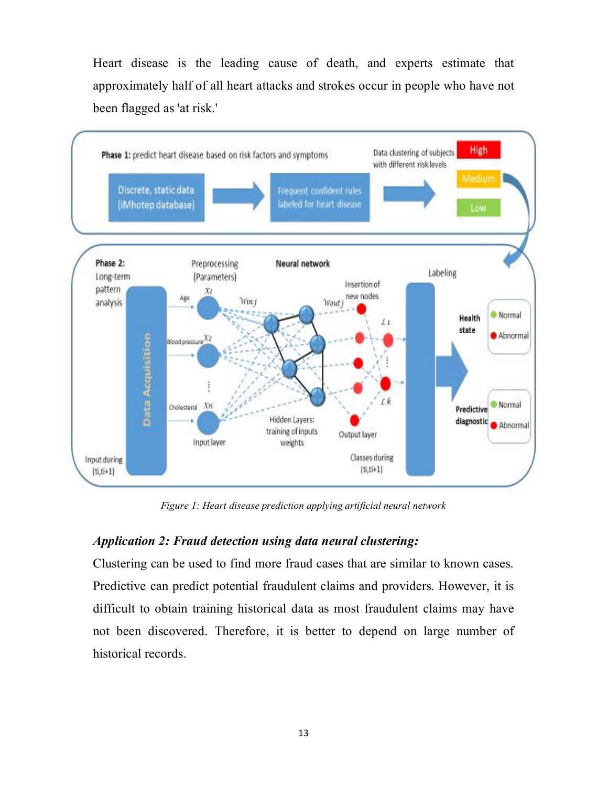Heart disease is the leading cause of death, and experts estimate that approximately half of all heart attacks and strokes occur in people who have not been flagged as 'at risk.'



*Figure 1: Heart disease prediction applying artificial neural network*

# *Application 2: Fraud detection using data neural clustering:*

Clustering can be used to find more fraud cases that are similar to known cases. Predictive can predict potential fraudulent claims and providers. However, it is difficult to obtain training historical data as most fraudulent claims may have not been discovered. Therefore, it is better to depend on large number of historical records.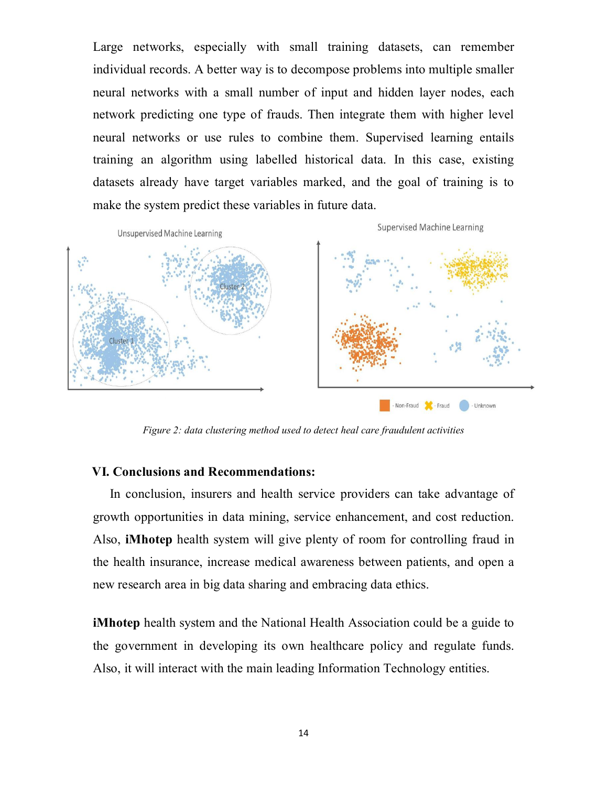Large networks, especially with small training datasets, can remember individual records. A better way is to decompose problems into multiple smaller neural networks with a small number of input and hidden layer nodes, each network predicting one type of frauds. Then integrate them with higher level neural networks or use rules to combine them. Supervised learning entails training an algorithm using labelled historical data. In this case, existing datasets already have target variables marked, and the goal of training is to make the system predict these variables in future data.



*Figure 2: data clustering method used to detect heal care fraudulent activities*

#### **VI. Conclusions and Recommendations:**

In conclusion, insurers and health service providers can take advantage of growth opportunities in data mining, service enhancement, and cost reduction. Also, **iMhotep** health system will give plenty of room for controlling fraud in the health insurance, increase medical awareness between patients, and open a new research area in big data sharing and embracing data ethics.

**iMhotep** health system and the National Health Association could be a guide to the government in developing its own healthcare policy and regulate funds. Also, it will interact with the main leading Information Technology entities.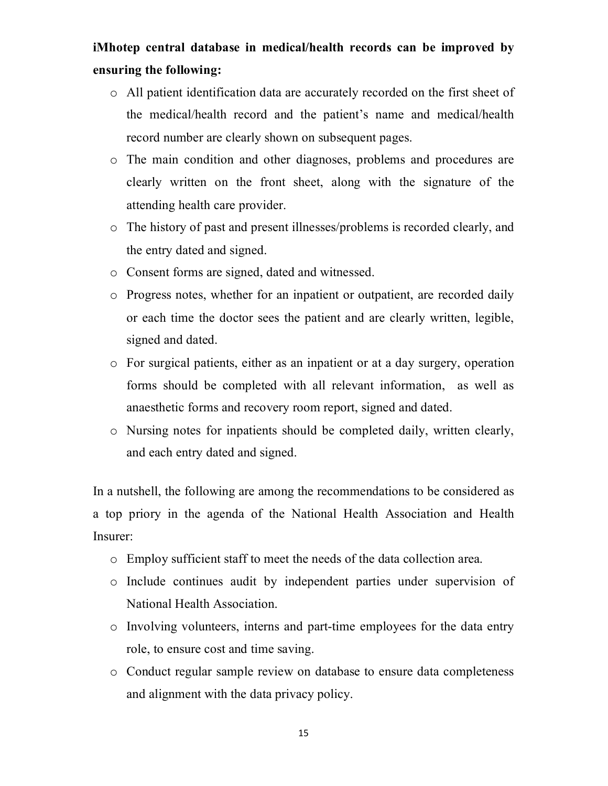# **iMhotep central database in medical/health records can be improved by ensuring the following:**

- o All patient identification data are accurately recorded on the first sheet of the medical/health record and the patient's name and medical/health record number are clearly shown on subsequent pages.
- o The main condition and other diagnoses, problems and procedures are clearly written on the front sheet, along with the signature of the attending health care provider.
- o The history of past and present illnesses/problems is recorded clearly, and the entry dated and signed.
- o Consent forms are signed, dated and witnessed.
- o Progress notes, whether for an inpatient or outpatient, are recorded daily or each time the doctor sees the patient and are clearly written, legible, signed and dated.
- o For surgical patients, either as an inpatient or at a day surgery, operation forms should be completed with all relevant information, as well as anaesthetic forms and recovery room report, signed and dated.
- o Nursing notes for inpatients should be completed daily, written clearly, and each entry dated and signed.

In a nutshell, the following are among the recommendations to be considered as a top priory in the agenda of the National Health Association and Health Insurer:

- o Employ sufficient staff to meet the needs of the data collection area.
- o Include continues audit by independent parties under supervision of National Health Association.
- o Involving volunteers, interns and part-time employees for the data entry role, to ensure cost and time saving.
- o Conduct regular sample review on database to ensure data completeness and alignment with the data privacy policy.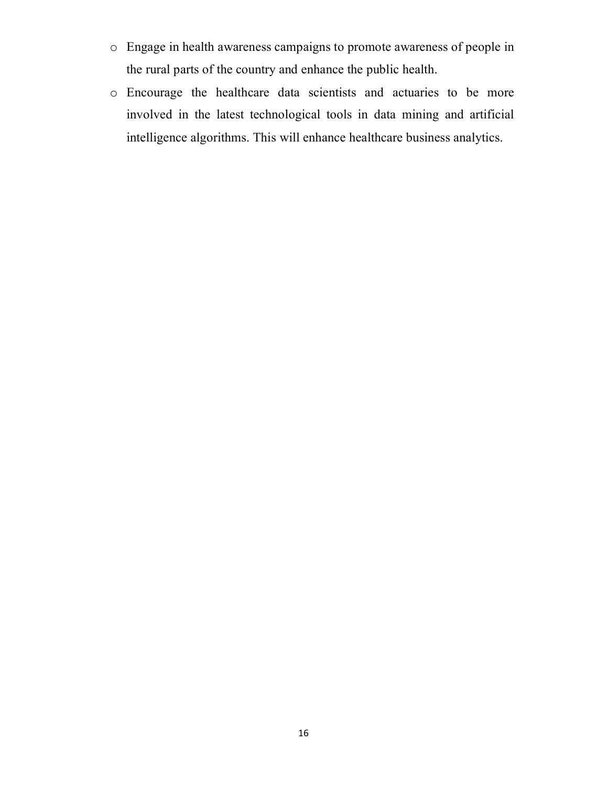- o Engage in health awareness campaigns to promote awareness of people in the rural parts of the country and enhance the public health.
- o Encourage the healthcare data scientists and actuaries to be more involved in the latest technological tools in data mining and artificial intelligence algorithms. This will enhance healthcare business analytics.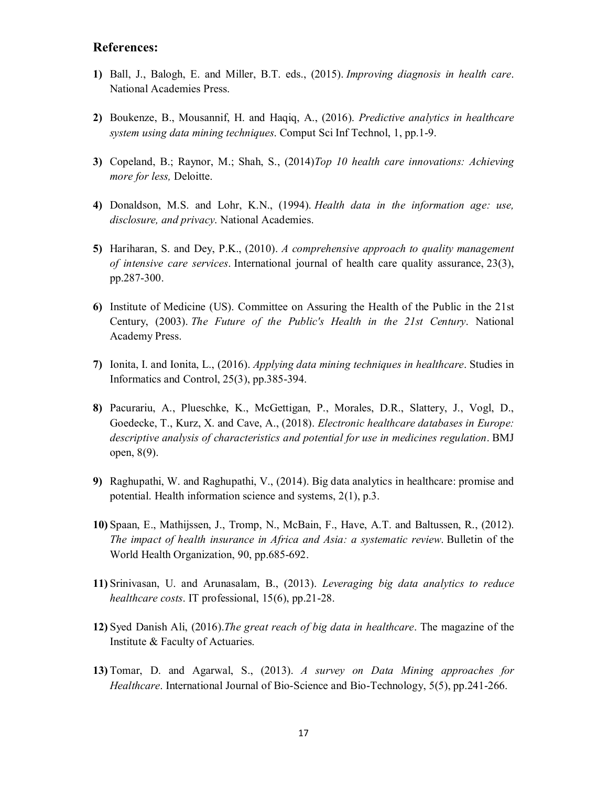#### **References:**

- **1)** Ball, J., Balogh, E. and Miller, B.T. eds., (2015). *Improving diagnosis in health care*. National Academies Press.
- **2)** Boukenze, B., Mousannif, H. and Haqiq, A., (2016). *Predictive analytics in healthcare system using data mining techniques*. Comput Sci Inf Technol, 1, pp.1-9.
- **3)** Copeland, B.; Raynor, M.; Shah, S., (2014)*Top 10 health care innovations: Achieving more for less,* Deloitte.
- **4)** Donaldson, M.S. and Lohr, K.N., (1994). *Health data in the information age: use, disclosure, and privacy*. National Academies.
- **5)** Hariharan, S. and Dey, P.K., (2010). *A comprehensive approach to quality management of intensive care services*. International journal of health care quality assurance, 23(3), pp.287-300.
- **6)** Institute of Medicine (US). Committee on Assuring the Health of the Public in the 21st Century, (2003). *The Future of the Public's Health in the 21st Century*. National Academy Press.
- **7)** Ionita, I. and Ionita, L., (2016). *Applying data mining techniques in healthcare*. Studies in Informatics and Control, 25(3), pp.385-394.
- **8)** Pacurariu, A., Plueschke, K., McGettigan, P., Morales, D.R., Slattery, J., Vogl, D., Goedecke, T., Kurz, X. and Cave, A., (2018). *Electronic healthcare databases in Europe: descriptive analysis of characteristics and potential for use in medicines regulation*. BMJ open, 8(9).
- **9)** Raghupathi, W. and Raghupathi, V., (2014). Big data analytics in healthcare: promise and potential. Health information science and systems, 2(1), p.3.
- **10)** Spaan, E., Mathijssen, J., Tromp, N., McBain, F., Have, A.T. and Baltussen, R., (2012). *The impact of health insurance in Africa and Asia: a systematic review*. Bulletin of the World Health Organization, 90, pp.685-692.
- **11)** Srinivasan, U. and Arunasalam, B., (2013). *Leveraging big data analytics to reduce healthcare costs*. IT professional, 15(6), pp.21-28.
- **12)** Syed Danish Ali, (2016).*The great reach of big data in healthcare*. The magazine of the Institute & Faculty of Actuaries.
- **13)** Tomar, D. and Agarwal, S., (2013). *A survey on Data Mining approaches for Healthcare*. International Journal of Bio-Science and Bio-Technology, 5(5), pp.241-266.